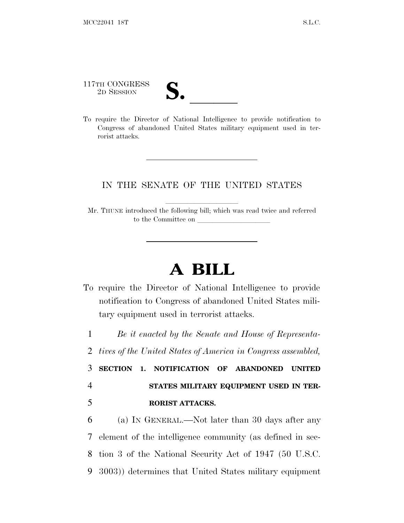## 117TH CONGRESS

117TH CONGRESS<br>
2D SESSION<br>
To require the Director of National Intelligence to provide notification to Congress of abandoned United States military equipment used in terrorist attacks.

## IN THE SENATE OF THE UNITED STATES

Mr. THUNE introduced the following bill; which was read twice and referred to the Committee on

## **A BILL**

To require the Director of National Intelligence to provide notification to Congress of abandoned United States military equipment used in terrorist attacks.

1 *Be it enacted by the Senate and House of Representa-*

2 *tives of the United States of America in Congress assembled,*

3 **SECTION 1. NOTIFICATION OF ABANDONED UNITED** 4 **STATES MILITARY EQUIPMENT USED IN TER-**5 **RORIST ATTACKS.**

 (a) I<sup>N</sup> GENERAL.—Not later than 30 days after any element of the intelligence community (as defined in sec- tion 3 of the National Security Act of 1947 (50 U.S.C. 3003)) determines that United States military equipment